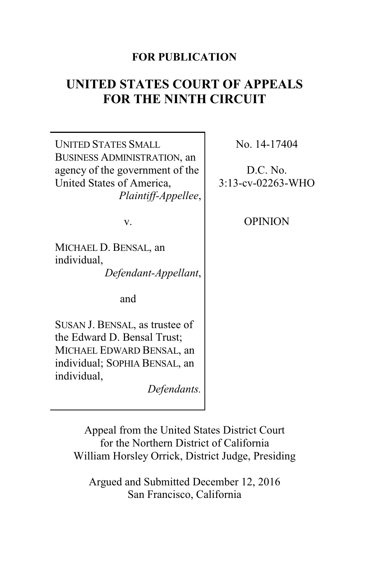# **FOR PUBLICATION**

# **UNITED STATES COURT OF APPEALS FOR THE NINTH CIRCUIT**

UNITED STATES SMALL BUSINESS ADMINISTRATION, an agency of the government of the United States of America, *Plaintiff-Appellee*,

v.

MICHAEL D. BENSAL, an individual, *Defendant-Appellant*,

and

SUSAN J. BENSAL, as trustee of the Edward D. Bensal Trust; MICHAEL EDWARD BENSAL, an individual; SOPHIA BENSAL, an individual,

*Defendants.*

No. 14-17404

D.C. No. 3:13-cv-02263-WHO

OPINION

Appeal from the United States District Court for the Northern District of California William Horsley Orrick, District Judge, Presiding

Argued and Submitted December 12, 2016 San Francisco, California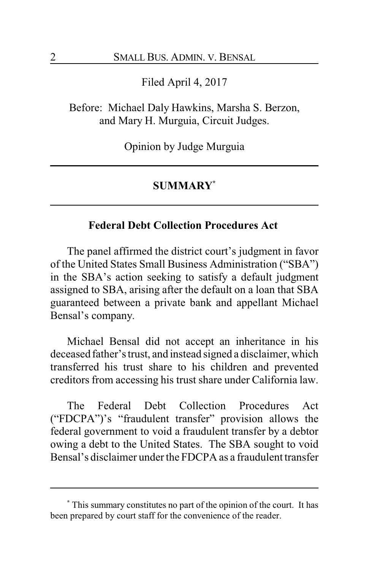Filed April 4, 2017

Before: Michael Daly Hawkins, Marsha S. Berzon, and Mary H. Murguia, Circuit Judges.

Opinion by Judge Murguia

#### **SUMMARY\***

## **Federal Debt Collection Procedures Act**

The panel affirmed the district court's judgment in favor of the United States Small Business Administration ("SBA") in the SBA's action seeking to satisfy a default judgment assigned to SBA, arising after the default on a loan that SBA guaranteed between a private bank and appellant Michael Bensal's company.

Michael Bensal did not accept an inheritance in his deceased father's trust, and instead signed a disclaimer, which transferred his trust share to his children and prevented creditors from accessing his trust share under California law.

The Federal Debt Collection Procedures Act ("FDCPA")'s "fraudulent transfer" provision allows the federal government to void a fraudulent transfer by a debtor owing a debt to the United States. The SBA sought to void Bensal's disclaimer under the FDCPA as a fraudulent transfer

**<sup>\*</sup>** This summary constitutes no part of the opinion of the court. It has been prepared by court staff for the convenience of the reader.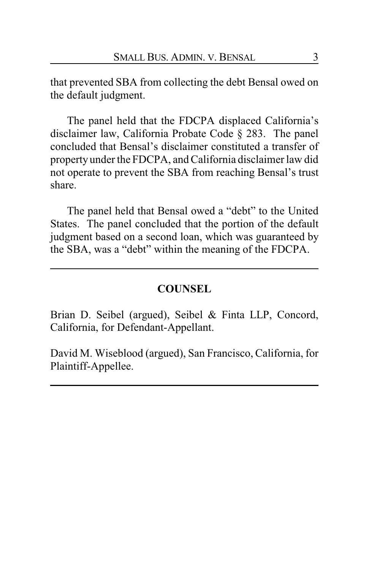that prevented SBA from collecting the debt Bensal owed on the default judgment.

The panel held that the FDCPA displaced California's disclaimer law, California Probate Code § 283. The panel concluded that Bensal's disclaimer constituted a transfer of property under the FDCPA, and California disclaimer law did not operate to prevent the SBA from reaching Bensal's trust share.

The panel held that Bensal owed a "debt" to the United States. The panel concluded that the portion of the default judgment based on a second loan, which was guaranteed by the SBA, was a "debt" within the meaning of the FDCPA.

#### **COUNSEL**

Brian D. Seibel (argued), Seibel & Finta LLP, Concord, California, for Defendant-Appellant.

David M. Wiseblood (argued), San Francisco, California, for Plaintiff-Appellee.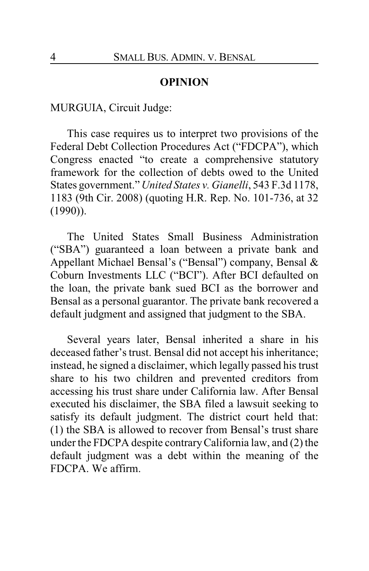#### **OPINION**

MURGUIA, Circuit Judge:

This case requires us to interpret two provisions of the Federal Debt Collection Procedures Act ("FDCPA"), which Congress enacted "to create a comprehensive statutory framework for the collection of debts owed to the United States government." *United States v. Gianelli*, 543 F.3d 1178, 1183 (9th Cir. 2008) (quoting H.R. Rep. No. 101-736, at 32 (1990)).

The United States Small Business Administration ("SBA") guaranteed a loan between a private bank and Appellant Michael Bensal's ("Bensal") company, Bensal & Coburn Investments LLC ("BCI"). After BCI defaulted on the loan, the private bank sued BCI as the borrower and Bensal as a personal guarantor. The private bank recovered a default judgment and assigned that judgment to the SBA.

Several years later, Bensal inherited a share in his deceased father's trust. Bensal did not accept his inheritance; instead, he signed a disclaimer, which legally passed his trust share to his two children and prevented creditors from accessing his trust share under California law. After Bensal executed his disclaimer, the SBA filed a lawsuit seeking to satisfy its default judgment. The district court held that: (1) the SBA is allowed to recover from Bensal's trust share under the FDCPA despite contraryCalifornia law, and (2) the default judgment was a debt within the meaning of the FDCPA. We affirm.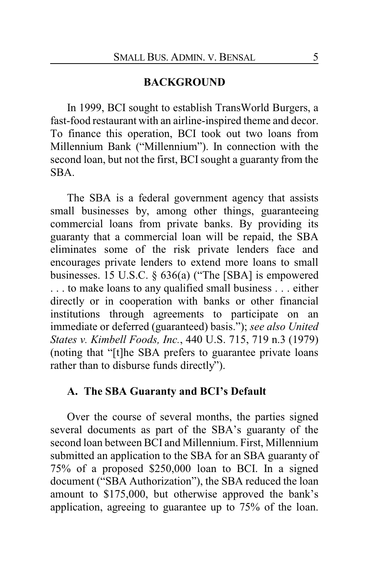#### **BACKGROUND**

In 1999, BCI sought to establish TransWorld Burgers, a fast-food restaurant with an airline-inspired theme and decor. To finance this operation, BCI took out two loans from Millennium Bank ("Millennium"). In connection with the second loan, but not the first, BCI sought a guaranty from the SBA.

The SBA is a federal government agency that assists small businesses by, among other things, guaranteeing commercial loans from private banks. By providing its guaranty that a commercial loan will be repaid, the SBA eliminates some of the risk private lenders face and encourages private lenders to extend more loans to small businesses. 15 U.S.C. § 636(a) ("The [SBA] is empowered . . . to make loans to any qualified small business . . . either directly or in cooperation with banks or other financial institutions through agreements to participate on an immediate or deferred (guaranteed) basis."); *see also United States v. Kimbell Foods, Inc.*, 440 U.S. 715, 719 n.3 (1979) (noting that "[t]he SBA prefers to guarantee private loans rather than to disburse funds directly").

## **A. The SBA Guaranty and BCI's Default**

Over the course of several months, the parties signed several documents as part of the SBA's guaranty of the second loan between BCI and Millennium. First, Millennium submitted an application to the SBA for an SBA guaranty of 75% of a proposed \$250,000 loan to BCI. In a signed document ("SBA Authorization"), the SBA reduced the loan amount to \$175,000, but otherwise approved the bank's application, agreeing to guarantee up to 75% of the loan.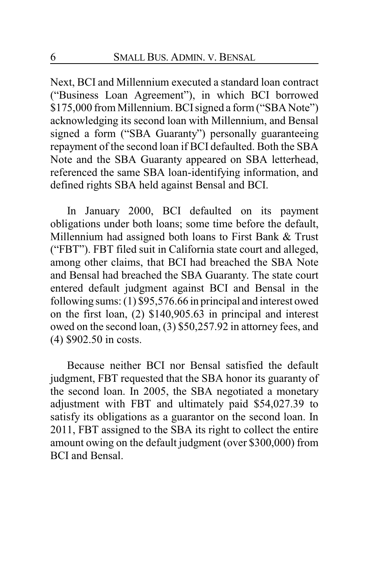Next, BCI and Millennium executed a standard loan contract ("Business Loan Agreement"), in which BCI borrowed \$175,000 from Millennium. BCI signed a form ("SBA Note") acknowledging its second loan with Millennium, and Bensal signed a form ("SBA Guaranty") personally guaranteeing repayment of the second loan if BCI defaulted. Both the SBA Note and the SBA Guaranty appeared on SBA letterhead, referenced the same SBA loan-identifying information, and defined rights SBA held against Bensal and BCI.

In January 2000, BCI defaulted on its payment obligations under both loans; some time before the default, Millennium had assigned both loans to First Bank & Trust ("FBT"). FBT filed suit in California state court and alleged, among other claims, that BCI had breached the SBA Note and Bensal had breached the SBA Guaranty. The state court entered default judgment against BCI and Bensal in the following sums: (1) \$95,576.66 in principal and interest owed on the first loan, (2) \$140,905.63 in principal and interest owed on the second loan, (3) \$50,257.92 in attorney fees, and (4) \$902.50 in costs.

Because neither BCI nor Bensal satisfied the default judgment, FBT requested that the SBA honor its guaranty of the second loan. In 2005, the SBA negotiated a monetary adjustment with FBT and ultimately paid \$54,027.39 to satisfy its obligations as a guarantor on the second loan. In 2011, FBT assigned to the SBA its right to collect the entire amount owing on the default judgment (over \$300,000) from BCI and Bensal.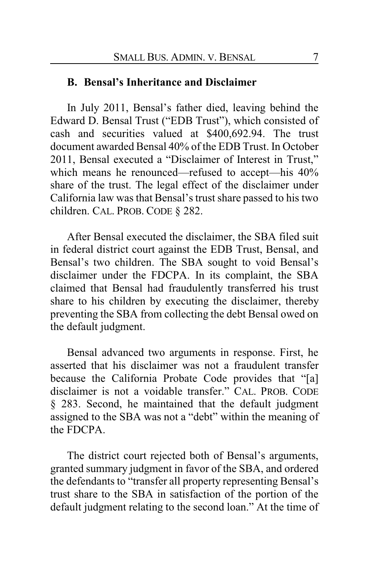#### **B. Bensal's Inheritance and Disclaimer**

In July 2011, Bensal's father died, leaving behind the Edward D. Bensal Trust ("EDB Trust"), which consisted of cash and securities valued at \$400,692.94. The trust document awarded Bensal 40% of the EDB Trust. In October 2011, Bensal executed a "Disclaimer of Interest in Trust," which means he renounced—refused to accept—his  $40\%$ share of the trust. The legal effect of the disclaimer under California law was that Bensal's trust share passed to his two children. CAL. PROB. CODE § 282.

After Bensal executed the disclaimer, the SBA filed suit in federal district court against the EDB Trust, Bensal, and Bensal's two children. The SBA sought to void Bensal's disclaimer under the FDCPA. In its complaint, the SBA claimed that Bensal had fraudulently transferred his trust share to his children by executing the disclaimer, thereby preventing the SBA from collecting the debt Bensal owed on the default judgment.

Bensal advanced two arguments in response. First, he asserted that his disclaimer was not a fraudulent transfer because the California Probate Code provides that "[a] disclaimer is not a voidable transfer." CAL. PROB. CODE § 283. Second, he maintained that the default judgment assigned to the SBA was not a "debt" within the meaning of the FDCPA.

The district court rejected both of Bensal's arguments, granted summary judgment in favor of the SBA, and ordered the defendants to "transfer all property representing Bensal's trust share to the SBA in satisfaction of the portion of the default judgment relating to the second loan." At the time of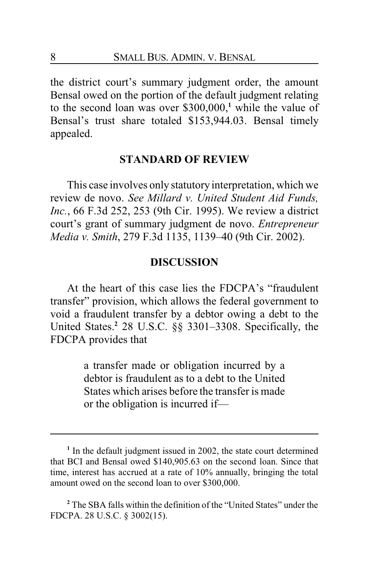the district court's summary judgment order, the amount Bensal owed on the portion of the default judgment relating to the second loan was over \$300,000, **<sup>1</sup>** while the value of Bensal's trust share totaled \$153,944.03. Bensal timely appealed.

#### **STANDARD OF REVIEW**

This case involves only statutory interpretation, which we review de novo. *See Millard v. United Student Aid Funds, Inc.*, 66 F.3d 252, 253 (9th Cir. 1995). We review a district court's grant of summary judgment de novo. *Entrepreneur Media v. Smith*, 279 F.3d 1135, 1139–40 (9th Cir. 2002).

## **DISCUSSION**

At the heart of this case lies the FDCPA's "fraudulent transfer" provision, which allows the federal government to void a fraudulent transfer by a debtor owing a debt to the United States.**<sup>2</sup>** 28 U.S.C. §§ 3301–3308. Specifically, the FDCPA provides that

> a transfer made or obligation incurred by a debtor is fraudulent as to a debt to the United States which arises before the transfer is made or the obligation is incurred if—

<sup>&</sup>lt;sup>1</sup> In the default judgment issued in 2002, the state court determined that BCI and Bensal owed \$140,905.63 on the second loan. Since that time, interest has accrued at a rate of 10% annually, bringing the total amount owed on the second loan to over \$300,000.

**<sup>2</sup>** The SBA falls within the definition of the "United States" under the FDCPA. 28 U.S.C. § 3002(15).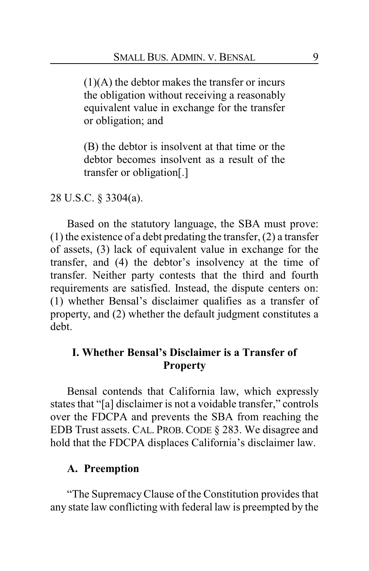(1)(A) the debtor makes the transfer or incurs the obligation without receiving a reasonably equivalent value in exchange for the transfer or obligation; and

(B) the debtor is insolvent at that time or the debtor becomes insolvent as a result of the transfer or obligation[.]

28 U.S.C. § 3304(a).

Based on the statutory language, the SBA must prove: (1) the existence of a debt predating the transfer, (2) a transfer of assets, (3) lack of equivalent value in exchange for the transfer, and (4) the debtor's insolvency at the time of transfer. Neither party contests that the third and fourth requirements are satisfied. Instead, the dispute centers on: (1) whether Bensal's disclaimer qualifies as a transfer of property, and (2) whether the default judgment constitutes a debt.

# **I. Whether Bensal's Disclaimer is a Transfer of Property**

Bensal contends that California law, which expressly states that "[a] disclaimer is not a voidable transfer," controls over the FDCPA and prevents the SBA from reaching the EDB Trust assets. CAL. PROB. CODE § 283. We disagree and hold that the FDCPA displaces California's disclaimer law.

## **A. Preemption**

"The SupremacyClause of the Constitution provides that any state law conflicting with federal law is preempted by the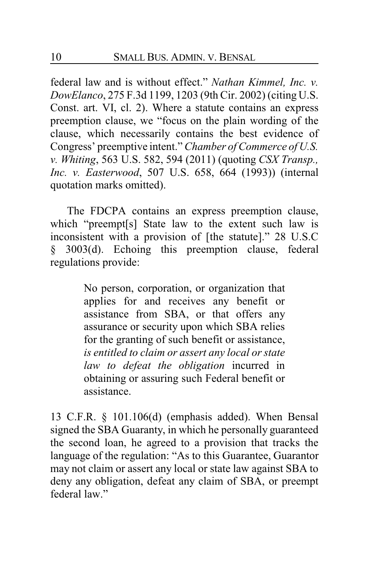federal law and is without effect." *Nathan Kimmel, Inc. v. DowElanco*, 275 F.3d 1199, 1203 (9th Cir. 2002) (citing U.S. Const. art. VI, cl. 2). Where a statute contains an express preemption clause, we "focus on the plain wording of the clause, which necessarily contains the best evidence of Congress' preemptive intent." *Chamber of Commerce of U.S. v. Whiting*, 563 U.S. 582, 594 (2011) (quoting *CSX Transp., Inc. v. Easterwood*, 507 U.S. 658, 664 (1993)) (internal quotation marks omitted).

The FDCPA contains an express preemption clause, which "preempt[s] State law to the extent such law is inconsistent with a provision of [the statute]." 28 U.S.C § 3003(d). Echoing this preemption clause, federal regulations provide:

> No person, corporation, or organization that applies for and receives any benefit or assistance from SBA, or that offers any assurance or security upon which SBA relies for the granting of such benefit or assistance, *is entitled to claim or assert any local or state law to defeat the obligation* incurred in obtaining or assuring such Federal benefit or assistance.

13 C.F.R. § 101.106(d) (emphasis added). When Bensal signed the SBA Guaranty, in which he personally guaranteed the second loan, he agreed to a provision that tracks the language of the regulation: "As to this Guarantee, Guarantor may not claim or assert any local or state law against SBA to deny any obligation, defeat any claim of SBA, or preempt federal law"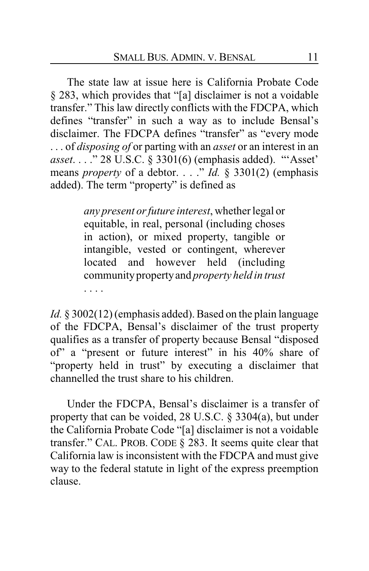The state law at issue here is California Probate Code § 283, which provides that "[a] disclaimer is not a voidable transfer." This law directly conflicts with the FDCPA, which defines "transfer" in such a way as to include Bensal's disclaimer. The FDCPA defines "transfer" as "every mode . . . of *disposing of* or parting with an *asset* or an interest in an *asset*. . . ." 28 U.S.C. § 3301(6) (emphasis added). "'Asset' means *property* of a debtor. . . ." *Id.* § 3301(2) (emphasis added). The term "property" is defined as

> *any present or future interest*, whether legal or equitable, in real, personal (including choses in action), or mixed property, tangible or intangible, vested or contingent, wherever located and however held (including communitypropertyand *property held in trust* . . . .

*Id.* § 3002(12) (emphasis added). Based on the plain language of the FDCPA, Bensal's disclaimer of the trust property qualifies as a transfer of property because Bensal "disposed of" a "present or future interest" in his 40% share of "property held in trust" by executing a disclaimer that channelled the trust share to his children.

Under the FDCPA, Bensal's disclaimer is a transfer of property that can be voided, 28 U.S.C. § 3304(a), but under the California Probate Code "[a] disclaimer is not a voidable transfer." CAL. PROB. CODE § 283. It seems quite clear that California law is inconsistent with the FDCPA and must give way to the federal statute in light of the express preemption clause.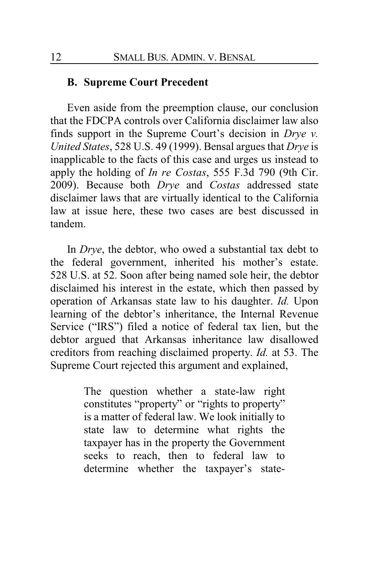## **B. Supreme Court Precedent**

Even aside from the preemption clause, our conclusion that the FDCPA controls over California disclaimer law also finds support in the Supreme Court's decision in *Drye v. United States*, 528 U.S. 49 (1999). Bensal argues that *Drye* is inapplicable to the facts of this case and urges us instead to apply the holding of *In re Costas*, 555 F.3d 790 (9th Cir. 2009). Because both *Drye* and *Costas* addressed state disclaimer laws that are virtually identical to the California law at issue here, these two cases are best discussed in tandem.

In *Drye*, the debtor, who owed a substantial tax debt to the federal government, inherited his mother's estate. 528 U.S. at 52. Soon after being named sole heir, the debtor disclaimed his interest in the estate, which then passed by operation of Arkansas state law to his daughter. *Id.* Upon learning of the debtor's inheritance, the Internal Revenue Service ("IRS") filed a notice of federal tax lien, but the debtor argued that Arkansas inheritance law disallowed creditors from reaching disclaimed property. *Id.* at 53. The Supreme Court rejected this argument and explained,

> The question whether a state-law right constitutes "property" or "rights to property" is a matter of federal law. We look initially to state law to determine what rights the taxpayer has in the property the Government seeks to reach, then to federal law to determine whether the taxpayer's state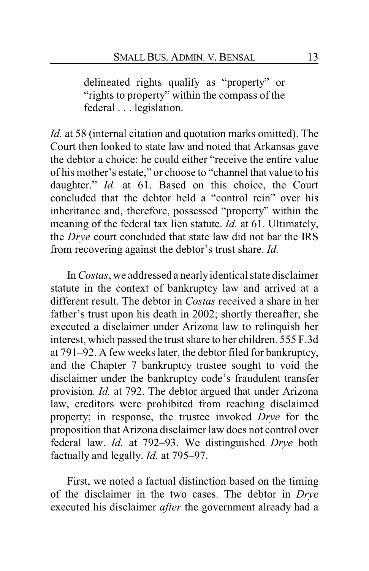delineated rights qualify as "property" or "rights to property" within the compass of the federal . . . legislation.

*Id.* at 58 (internal citation and quotation marks omitted). The Court then looked to state law and noted that Arkansas gave the debtor a choice: he could either "receive the entire value of his mother's estate," or choose to "channel that value to his daughter." *Id.* at 61. Based on this choice, the Court concluded that the debtor held a "control rein" over his inheritance and, therefore, possessed "property" within the meaning of the federal tax lien statute. *Id.* at 61. Ultimately, the *Drye* court concluded that state law did not bar the IRS from recovering against the debtor's trust share. *Id.*

In *Costas*, we addressed a nearlyidentical state disclaimer statute in the context of bankruptcy law and arrived at a different result. The debtor in *Costas* received a share in her father's trust upon his death in 2002; shortly thereafter, she executed a disclaimer under Arizona law to relinquish her interest, which passed the trust share to her children. 555 F.3d at 791–92. A few weeks later, the debtor filed for bankruptcy, and the Chapter 7 bankruptcy trustee sought to void the disclaimer under the bankruptcy code's fraudulent transfer provision. *Id.* at 792. The debtor argued that under Arizona law, creditors were prohibited from reaching disclaimed property; in response, the trustee invoked *Drye* for the proposition that Arizona disclaimer law does not control over federal law. *Id.* at 792–93. We distinguished *Drye* both factually and legally. *Id.* at 795–97.

First, we noted a factual distinction based on the timing of the disclaimer in the two cases. The debtor in *Drye* executed his disclaimer *after* the government already had a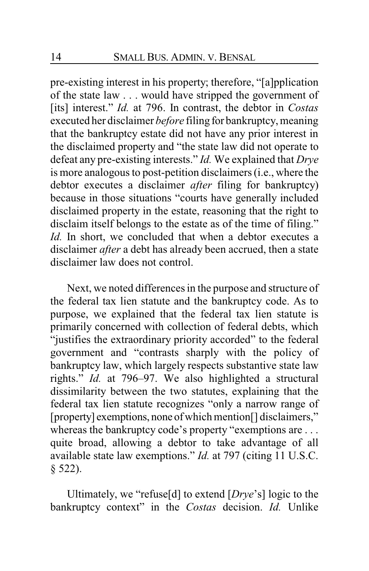pre-existing interest in his property; therefore, "[a]pplication of the state law . . . would have stripped the government of [its] interest." *Id.* at 796. In contrast, the debtor in *Costas* executed her disclaimer *before* filing for bankruptcy, meaning that the bankruptcy estate did not have any prior interest in the disclaimed property and "the state law did not operate to defeat any pre-existing interests." *Id.* We explained that *Drye* is more analogous to post-petition disclaimers (i.e., where the debtor executes a disclaimer *after* filing for bankruptcy) because in those situations "courts have generally included disclaimed property in the estate, reasoning that the right to disclaim itself belongs to the estate as of the time of filing." *Id.* In short, we concluded that when a debtor executes a disclaimer *after* a debt has already been accrued, then a state disclaimer law does not control.

Next, we noted differences in the purpose and structure of the federal tax lien statute and the bankruptcy code. As to purpose, we explained that the federal tax lien statute is primarily concerned with collection of federal debts, which "justifies the extraordinary priority accorded" to the federal government and "contrasts sharply with the policy of bankruptcy law, which largely respects substantive state law rights." *Id.* at 796–97. We also highlighted a structural dissimilarity between the two statutes, explaining that the federal tax lien statute recognizes "only a narrow range of [property] exemptions, none ofwhich mention[] disclaimers," whereas the bankruptcy code's property "exemptions are ... quite broad, allowing a debtor to take advantage of all available state law exemptions." *Id.* at 797 (citing 11 U.S.C. § 522).

Ultimately, we "refuse[d] to extend [*Drye*'s] logic to the bankruptcy context" in the *Costas* decision. *Id.* Unlike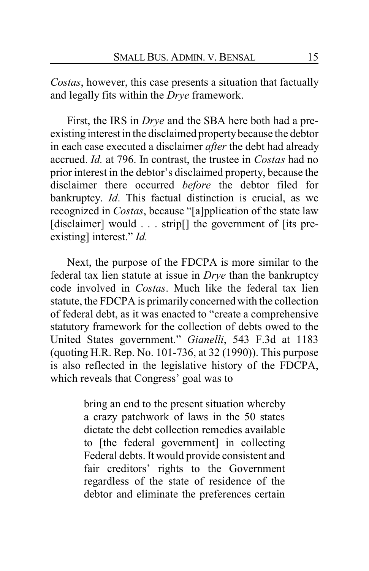*Costas*, however, this case presents a situation that factually and legally fits within the *Drye* framework.

First, the IRS in *Drye* and the SBA here both had a preexisting interest in the disclaimed propertybecause the debtor in each case executed a disclaimer *after* the debt had already accrued. *Id.* at 796. In contrast, the trustee in *Costas* had no prior interest in the debtor's disclaimed property, because the disclaimer there occurred *before* the debtor filed for bankruptcy. *Id*. This factual distinction is crucial, as we recognized in *Costas*, because "[a]pplication of the state law [disclaimer] would . . . strip[] the government of [its preexisting] interest." *Id.*

Next, the purpose of the FDCPA is more similar to the federal tax lien statute at issue in *Drye* than the bankruptcy code involved in *Costas*. Much like the federal tax lien statute, the FDCPA is primarily concerned with the collection of federal debt, as it was enacted to "create a comprehensive statutory framework for the collection of debts owed to the United States government." *Gianelli*, 543 F.3d at 1183 (quoting H.R. Rep. No. 101-736, at 32 (1990)). This purpose is also reflected in the legislative history of the FDCPA, which reveals that Congress' goal was to

> bring an end to the present situation whereby a crazy patchwork of laws in the 50 states dictate the debt collection remedies available to [the federal government] in collecting Federal debts. It would provide consistent and fair creditors' rights to the Government regardless of the state of residence of the debtor and eliminate the preferences certain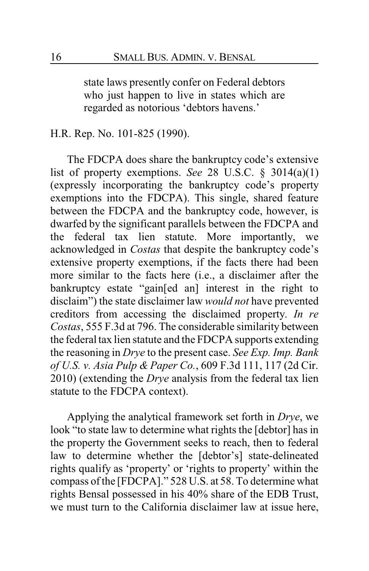state laws presently confer on Federal debtors who just happen to live in states which are regarded as notorious 'debtors havens.'

H.R. Rep. No. 101-825 (1990).

The FDCPA does share the bankruptcy code's extensive list of property exemptions. *See* 28 U.S.C. § 3014(a)(1) (expressly incorporating the bankruptcy code's property exemptions into the FDCPA). This single, shared feature between the FDCPA and the bankruptcy code, however, is dwarfed by the significant parallels between the FDCPA and the federal tax lien statute. More importantly, we acknowledged in *Costas* that despite the bankruptcy code's extensive property exemptions, if the facts there had been more similar to the facts here (i.e., a disclaimer after the bankruptcy estate "gain[ed an] interest in the right to disclaim") the state disclaimer law *would not* have prevented creditors from accessing the disclaimed property. *In re Costas*, 555 F.3d at 796. The considerable similarity between the federal tax lien statute and the FDCPA supports extending the reasoning in *Drye* to the present case. *See Exp. Imp. Bank of U.S. v. Asia Pulp & Paper Co.*, 609 F.3d 111, 117 (2d Cir. 2010) (extending the *Drye* analysis from the federal tax lien statute to the FDCPA context).

Applying the analytical framework set forth in *Drye*, we look "to state law to determine what rights the [debtor] has in the property the Government seeks to reach, then to federal law to determine whether the [debtor's] state-delineated rights qualify as 'property' or 'rights to property' within the compass of the [FDCPA]." 528 U.S. at 58. To determine what rights Bensal possessed in his 40% share of the EDB Trust, we must turn to the California disclaimer law at issue here,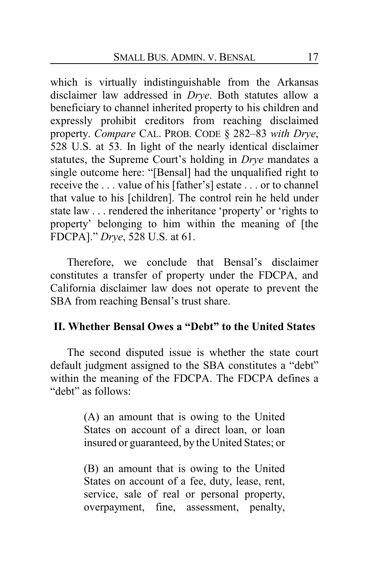which is virtually indistinguishable from the Arkansas disclaimer law addressed in *Drye*. Both statutes allow a beneficiary to channel inherited property to his children and expressly prohibit creditors from reaching disclaimed property. *Compare* CAL. PROB. CODE § 282–83 *with Drye*, 528 U.S. at 53. In light of the nearly identical disclaimer statutes, the Supreme Court's holding in *Drye* mandates a single outcome here: "[Bensal] had the unqualified right to receive the . . . value of his [father's] estate . . . or to channel that value to his [children]. The control rein he held under state law . . . rendered the inheritance 'property' or 'rights to property' belonging to him within the meaning of [the FDCPA]." *Drye*, 528 U.S. at 61.

Therefore, we conclude that Bensal's disclaimer constitutes a transfer of property under the FDCPA, and California disclaimer law does not operate to prevent the SBA from reaching Bensal's trust share.

## **II. Whether Bensal Owes a "Debt" to the United States**

The second disputed issue is whether the state court default judgment assigned to the SBA constitutes a "debt" within the meaning of the FDCPA. The FDCPA defines a "debt" as follows:

> (A) an amount that is owing to the United States on account of a direct loan, or loan insured or guaranteed, by the United States; or

> (B) an amount that is owing to the United States on account of a fee, duty, lease, rent, service, sale of real or personal property, overpayment, fine, assessment, penalty,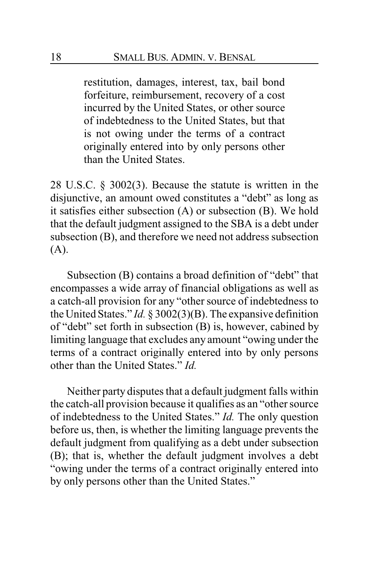restitution, damages, interest, tax, bail bond forfeiture, reimbursement, recovery of a cost incurred by the United States, or other source of indebtedness to the United States, but that is not owing under the terms of a contract originally entered into by only persons other than the United States.

28 U.S.C. § 3002(3). Because the statute is written in the disjunctive, an amount owed constitutes a "debt" as long as it satisfies either subsection (A) or subsection (B). We hold that the default judgment assigned to the SBA is a debt under subsection (B), and therefore we need not address subsection (A).

Subsection (B) contains a broad definition of "debt" that encompasses a wide array of financial obligations as well as a catch-all provision for any "other source of indebtedness to the United States." *Id.* § 3002(3)(B). The expansive definition of "debt" set forth in subsection (B) is, however, cabined by limiting language that excludes any amount "owing under the terms of a contract originally entered into by only persons other than the United States." *Id.*

Neither party disputes that a default judgment falls within the catch-all provision because it qualifies as an "other source of indebtedness to the United States." *Id.* The only question before us, then, is whether the limiting language prevents the default judgment from qualifying as a debt under subsection (B); that is, whether the default judgment involves a debt "owing under the terms of a contract originally entered into by only persons other than the United States."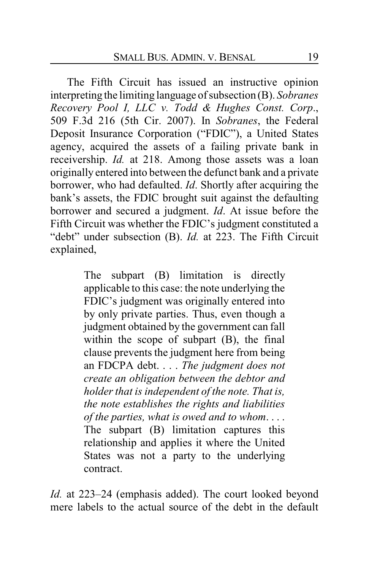The Fifth Circuit has issued an instructive opinion interpreting the limiting language of subsection (B). *Sobranes Recovery Pool I, LLC v. Todd & Hughes Const. Corp*., 509 F.3d 216 (5th Cir. 2007). In *Sobranes*, the Federal Deposit Insurance Corporation ("FDIC"), a United States agency, acquired the assets of a failing private bank in receivership. *Id.* at 218. Among those assets was a loan originally entered into between the defunct bank and a private borrower, who had defaulted. *Id*. Shortly after acquiring the bank's assets, the FDIC brought suit against the defaulting borrower and secured a judgment. *Id*. At issue before the Fifth Circuit was whether the FDIC's judgment constituted a "debt" under subsection (B). *Id.* at 223. The Fifth Circuit explained,

> The subpart (B) limitation is directly applicable to this case: the note underlying the FDIC's judgment was originally entered into by only private parties. Thus, even though a judgment obtained by the government can fall within the scope of subpart (B), the final clause prevents the judgment here from being an FDCPA debt. . . . *The judgment does not create an obligation between the debtor and holder that is independent of the note. That is, the note establishes the rights and liabilities of the parties, what is owed and to whom*. . . . The subpart (B) limitation captures this relationship and applies it where the United States was not a party to the underlying contract.

*Id.* at 223–24 (emphasis added). The court looked beyond mere labels to the actual source of the debt in the default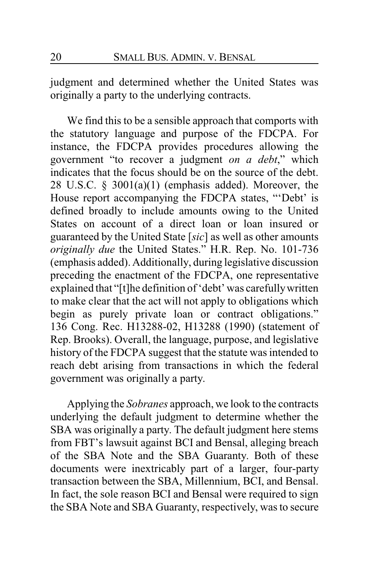judgment and determined whether the United States was originally a party to the underlying contracts.

We find this to be a sensible approach that comports with the statutory language and purpose of the FDCPA. For instance, the FDCPA provides procedures allowing the government "to recover a judgment *on a debt*," which indicates that the focus should be on the source of the debt. 28 U.S.C.  $\S$  3001(a)(1) (emphasis added). Moreover, the House report accompanying the FDCPA states, "'Debt' is defined broadly to include amounts owing to the United States on account of a direct loan or loan insured or guaranteed by the United State [*sic*] as well as other amounts *originally due* the United States." H.R. Rep. No. 101-736 (emphasis added). Additionally, during legislative discussion preceding the enactment of the FDCPA, one representative explained that "[t]he definition of 'debt' was carefullywritten to make clear that the act will not apply to obligations which begin as purely private loan or contract obligations." 136 Cong. Rec. H13288-02, H13288 (1990) (statement of Rep. Brooks). Overall, the language, purpose, and legislative history of the FDCPA suggest that the statute was intended to reach debt arising from transactions in which the federal government was originally a party.

Applying the *Sobranes* approach, we look to the contracts underlying the default judgment to determine whether the SBA was originally a party. The default judgment here stems from FBT's lawsuit against BCI and Bensal, alleging breach of the SBA Note and the SBA Guaranty. Both of these documents were inextricably part of a larger, four-party transaction between the SBA, Millennium, BCI, and Bensal. In fact, the sole reason BCI and Bensal were required to sign the SBA Note and SBA Guaranty, respectively, was to secure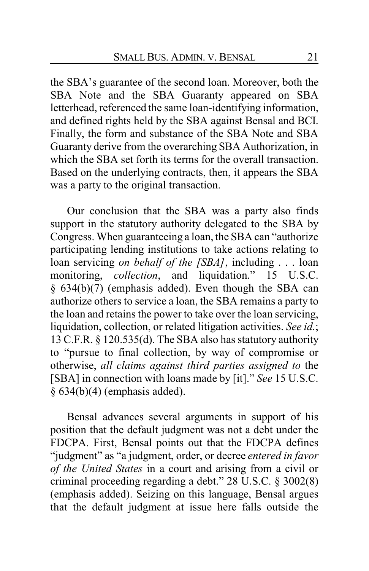the SBA's guarantee of the second loan. Moreover, both the SBA Note and the SBA Guaranty appeared on SBA letterhead, referenced the same loan-identifying information, and defined rights held by the SBA against Bensal and BCI. Finally, the form and substance of the SBA Note and SBA Guaranty derive from the overarching SBA Authorization, in which the SBA set forth its terms for the overall transaction. Based on the underlying contracts, then, it appears the SBA was a party to the original transaction.

Our conclusion that the SBA was a party also finds support in the statutory authority delegated to the SBA by Congress. When guaranteeing a loan, the SBA can "authorize participating lending institutions to take actions relating to loan servicing *on behalf of the [SBA]*, including . . . loan monitoring, *collection*, and liquidation." 15 U.S.C. § 634(b)(7) (emphasis added). Even though the SBA can authorize others to service a loan, the SBA remains a party to the loan and retains the power to take over the loan servicing, liquidation, collection, or related litigation activities. *See id.*; 13 C.F.R. § 120.535(d). The SBA also has statutory authority to "pursue to final collection, by way of compromise or otherwise, *all claims against third parties assigned to* the [SBA] in connection with loans made by [it]." *See* 15 U.S.C. § 634(b)(4) (emphasis added).

Bensal advances several arguments in support of his position that the default judgment was not a debt under the FDCPA. First, Bensal points out that the FDCPA defines "judgment" as "a judgment, order, or decree *entered in favor of the United States* in a court and arising from a civil or criminal proceeding regarding a debt." 28 U.S.C. § 3002(8) (emphasis added). Seizing on this language, Bensal argues that the default judgment at issue here falls outside the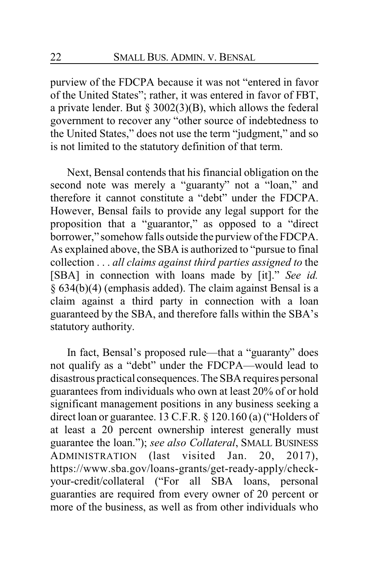purview of the FDCPA because it was not "entered in favor of the United States"; rather, it was entered in favor of FBT, a private lender. But § 3002(3)(B), which allows the federal government to recover any "other source of indebtedness to the United States," does not use the term "judgment," and so is not limited to the statutory definition of that term.

Next, Bensal contends that his financial obligation on the second note was merely a "guaranty" not a "loan," and therefore it cannot constitute a "debt" under the FDCPA. However, Bensal fails to provide any legal support for the proposition that a "guarantor," as opposed to a "direct borrower," somehow falls outside the purview of the FDCPA. As explained above, the SBA is authorized to "pursue to final collection . . . *all claims against third parties assigned to* the [SBA] in connection with loans made by [it]." *See id.* § 634(b)(4) (emphasis added). The claim against Bensal is a claim against a third party in connection with a loan guaranteed by the SBA, and therefore falls within the SBA's statutory authority.

In fact, Bensal's proposed rule—that a "guaranty" does not qualify as a "debt" under the FDCPA—would lead to disastrous practical consequences.The SBA requires personal guarantees from individuals who own at least 20% of or hold significant management positions in any business seeking a direct loan or guarantee. 13 C.F.R. § 120.160 (a) ("Holders of at least a 20 percent ownership interest generally must guarantee the loan."); *see also Collateral*, SMALL BUSINESS ADMINISTRATION (last visited Jan. 20, 2017), https://www.sba.gov/loans-grants/get-ready-apply/checkyour-credit/collateral ("For all SBA loans, personal guaranties are required from every owner of 20 percent or more of the business, as well as from other individuals who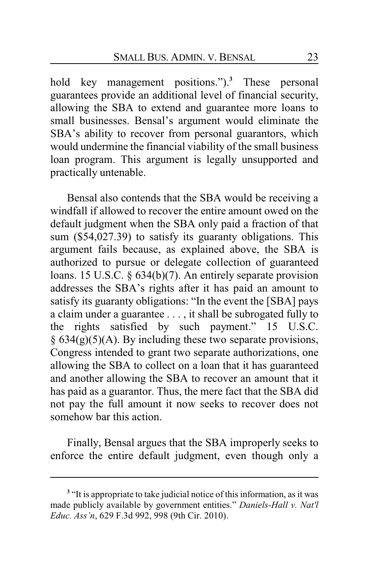hold key management positions.").**<sup>3</sup>** These personal guarantees provide an additional level of financial security, allowing the SBA to extend and guarantee more loans to small businesses. Bensal's argument would eliminate the SBA's ability to recover from personal guarantors, which would undermine the financial viability of the small business loan program. This argument is legally unsupported and practically untenable.

Bensal also contends that the SBA would be receiving a windfall if allowed to recover the entire amount owed on the default judgment when the SBA only paid a fraction of that sum (\$54,027.39) to satisfy its guaranty obligations. This argument fails because, as explained above, the SBA is authorized to pursue or delegate collection of guaranteed loans. 15 U.S.C. § 634(b)(7). An entirely separate provision addresses the SBA's rights after it has paid an amount to satisfy its guaranty obligations: "In the event the [SBA] pays a claim under a guarantee . . . , it shall be subrogated fully to the rights satisfied by such payment." 15 U.S.C.  $§ 634(g)(5)(A)$ . By including these two separate provisions, Congress intended to grant two separate authorizations, one allowing the SBA to collect on a loan that it has guaranteed and another allowing the SBA to recover an amount that it has paid as a guarantor. Thus, the mere fact that the SBA did not pay the full amount it now seeks to recover does not somehow bar this action.

Finally, Bensal argues that the SBA improperly seeks to enforce the entire default judgment, even though only a

<sup>&</sup>lt;sup>3</sup> "It is appropriate to take judicial notice of this information, as it was made publicly available by government entities." *Daniels-Hall v. Nat'l Educ. Ass'n*, 629 F.3d 992, 998 (9th Cir. 2010).